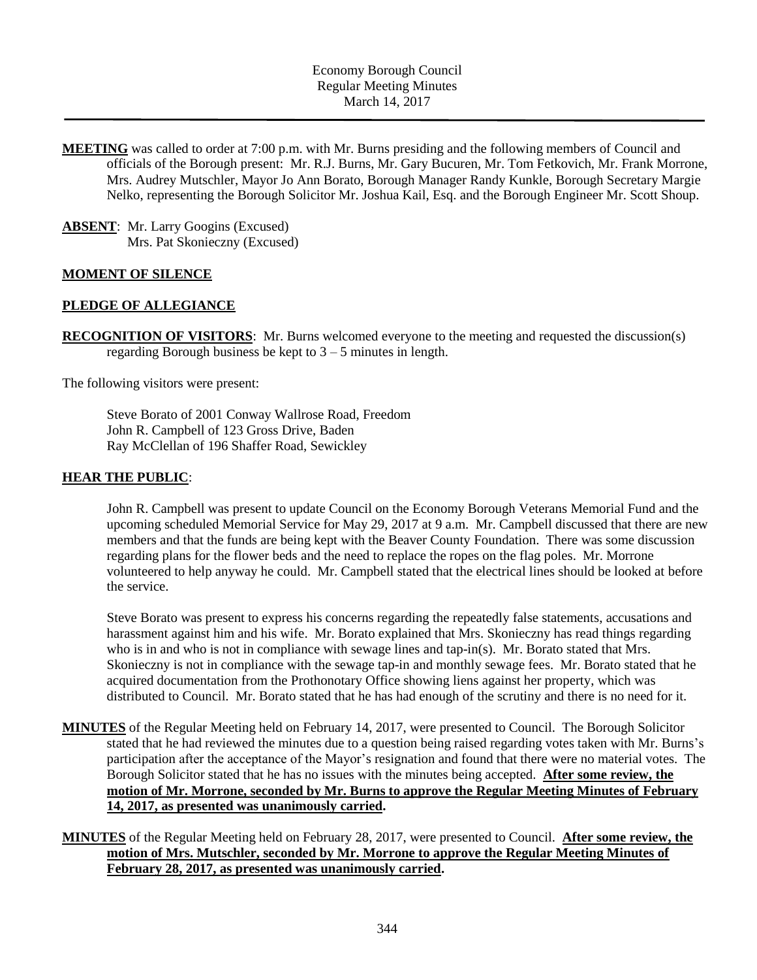**MEETING** was called to order at 7:00 p.m. with Mr. Burns presiding and the following members of Council and officials of the Borough present: Mr. R.J. Burns, Mr. Gary Bucuren, Mr. Tom Fetkovich, Mr. Frank Morrone, Mrs. Audrey Mutschler, Mayor Jo Ann Borato, Borough Manager Randy Kunkle, Borough Secretary Margie Nelko, representing the Borough Solicitor Mr. Joshua Kail, Esq. and the Borough Engineer Mr. Scott Shoup.

**ABSENT**: Mr. Larry Googins (Excused) Mrs. Pat Skonieczny (Excused)

### **MOMENT OF SILENCE**

#### **PLEDGE OF ALLEGIANCE**

**RECOGNITION OF VISITORS**: Mr. Burns welcomed everyone to the meeting and requested the discussion(s) regarding Borough business be kept to  $3 - 5$  minutes in length.

The following visitors were present:

Steve Borato of 2001 Conway Wallrose Road, Freedom John R. Campbell of 123 Gross Drive, Baden Ray McClellan of 196 Shaffer Road, Sewickley

#### **HEAR THE PUBLIC**:

John R. Campbell was present to update Council on the Economy Borough Veterans Memorial Fund and the upcoming scheduled Memorial Service for May 29, 2017 at 9 a.m. Mr. Campbell discussed that there are new members and that the funds are being kept with the Beaver County Foundation. There was some discussion regarding plans for the flower beds and the need to replace the ropes on the flag poles. Mr. Morrone volunteered to help anyway he could. Mr. Campbell stated that the electrical lines should be looked at before the service.

Steve Borato was present to express his concerns regarding the repeatedly false statements, accusations and harassment against him and his wife. Mr. Borato explained that Mrs. Skonieczny has read things regarding who is in and who is not in compliance with sewage lines and tap-in(s). Mr. Borato stated that Mrs. Skonieczny is not in compliance with the sewage tap-in and monthly sewage fees. Mr. Borato stated that he acquired documentation from the Prothonotary Office showing liens against her property, which was distributed to Council. Mr. Borato stated that he has had enough of the scrutiny and there is no need for it.

- **MINUTES** of the Regular Meeting held on February 14, 2017, were presented to Council. The Borough Solicitor stated that he had reviewed the minutes due to a question being raised regarding votes taken with Mr. Burns's participation after the acceptance of the Mayor's resignation and found that there were no material votes. The Borough Solicitor stated that he has no issues with the minutes being accepted. **After some review, the motion of Mr. Morrone, seconded by Mr. Burns to approve the Regular Meeting Minutes of February 14, 2017, as presented was unanimously carried.**
- **MINUTES** of the Regular Meeting held on February 28, 2017, were presented to Council. **After some review, the motion of Mrs. Mutschler, seconded by Mr. Morrone to approve the Regular Meeting Minutes of February 28, 2017, as presented was unanimously carried.**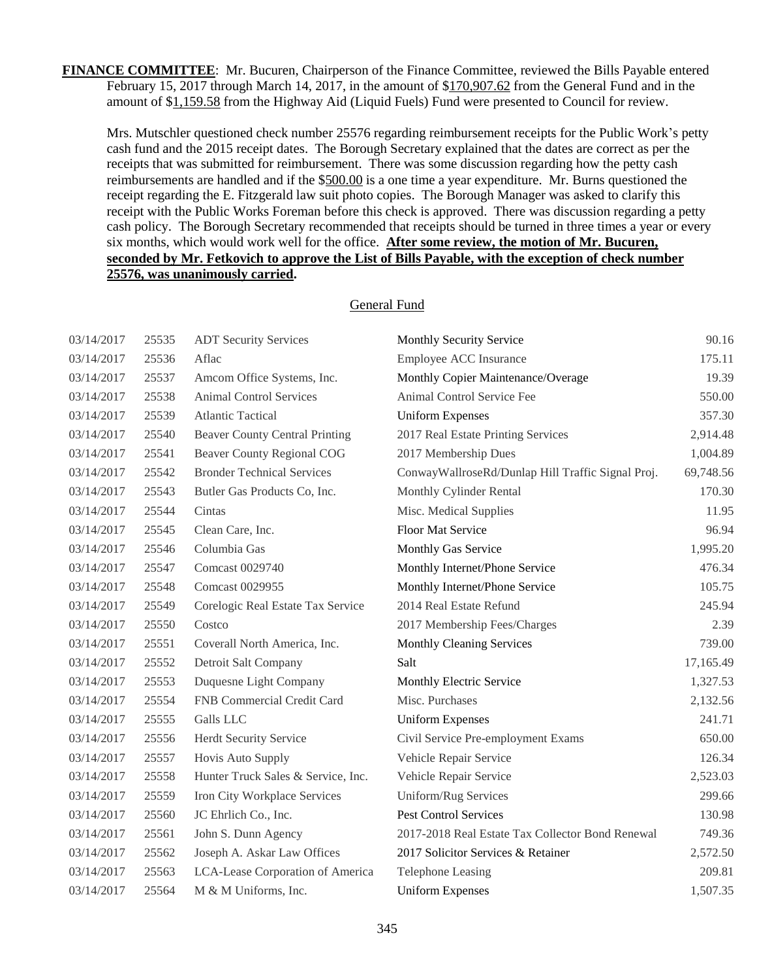**FINANCE COMMITTEE**: Mr. Bucuren, Chairperson of the Finance Committee, reviewed the Bills Payable entered February 15, 2017 through March 14, 2017, in the amount of \$170,907.62 from the General Fund and in the amount of \$1,159.58 from the Highway Aid (Liquid Fuels) Fund were presented to Council for review.

Mrs. Mutschler questioned check number 25576 regarding reimbursement receipts for the Public Work's petty cash fund and the 2015 receipt dates. The Borough Secretary explained that the dates are correct as per the receipts that was submitted for reimbursement. There was some discussion regarding how the petty cash reimbursements are handled and if the \$500.00 is a one time a year expenditure. Mr. Burns questioned the receipt regarding the E. Fitzgerald law suit photo copies. The Borough Manager was asked to clarify this receipt with the Public Works Foreman before this check is approved. There was discussion regarding a petty cash policy. The Borough Secretary recommended that receipts should be turned in three times a year or every six months, which would work well for the office. **After some review, the motion of Mr. Bucuren, seconded by Mr. Fetkovich to approve the List of Bills Payable, with the exception of check number 25576, was unanimously carried.**

# 03/14/2017 25535 ADT Security Services Monthly Security Service 90.16 03/14/2017 25536 Aflac Employee ACC Insurance 175.11 03/14/2017 25537 Amcom Office Systems, Inc. Monthly Copier Maintenance/Overage 19.39 03/14/2017 25538 Animal Control Services Animal Control Service Fee 550.00 03/14/2017 25539 Atlantic Tactical Uniform Expenses 357.30 03/14/2017 25540 Beaver County Central Printing 2017 Real Estate Printing Services 2,914.48 03/14/2017 25541 Beaver County Regional COG 2017 Membership Dues 1,004.89 03/14/2017 25542 Bronder Technical Services ConwayWallroseRd/Dunlap Hill Traffic Signal Proj. 69,748.56 03/14/2017 25543 Butler Gas Products Co, Inc. Monthly Cylinder Rental 170.30 03/14/2017 25544 Cintas Misc. Medical Supplies 11.95 03/14/2017 25545 Clean Care, Inc. Floor Mat Service 96.94 03/14/2017 25546 Columbia Gas Monthly Gas Service 1,995.20 03/14/2017 25547 Comcast 0029740 Monthly Internet/Phone Service 476.34 03/14/2017 25548 Comcast 0029955 Monthly Internet/Phone Service 105.75 03/14/2017 25549 Corelogic Real Estate Tax Service 2014 Real Estate Refund 245.94 03/14/2017 25550 Costco 2017 Membership Fees/Charges 2.39 03/14/2017 25551 Coverall North America, Inc. Monthly Cleaning Services 739.00 03/14/2017 25552 Detroit Salt Company Salt 17,165.49 03/14/2017 25553 Duquesne Light Company Monthly Electric Service 1,327.53 03/14/2017 25554 FNB Commercial Credit Card Misc. Purchases 2,132.56 03/14/2017 25555 Galls LLC Uniform Expenses 241.71 03/14/2017 25556 Herdt Security Service Civil Service Pre-employment Exams 650.00 03/14/2017 25557 Hovis Auto Supply Vehicle Repair Service 126.34 03/14/2017 25558 Hunter Truck Sales & Service, Inc. Vehicle Repair Service 2,523.03 03/14/2017 25559 Iron City Workplace Services Uniform/Rug Services 299.66 03/14/2017 25560 JC Ehrlich Co., Inc. Pest Control Services 130.98 03/14/2017 25561 John S. Dunn Agency 2017-2018 Real Estate Tax Collector Bond Renewal 749.36 03/14/2017 25562 Joseph A. Askar Law Offices 2017 Solicitor Services & Retainer 2,572.50 03/14/2017 25563 LCA-Lease Corporation of America Telephone Leasing 209.81 03/14/2017 25564 M & M Uniforms, Inc. Uniform Expenses 1,507.35

## General Fund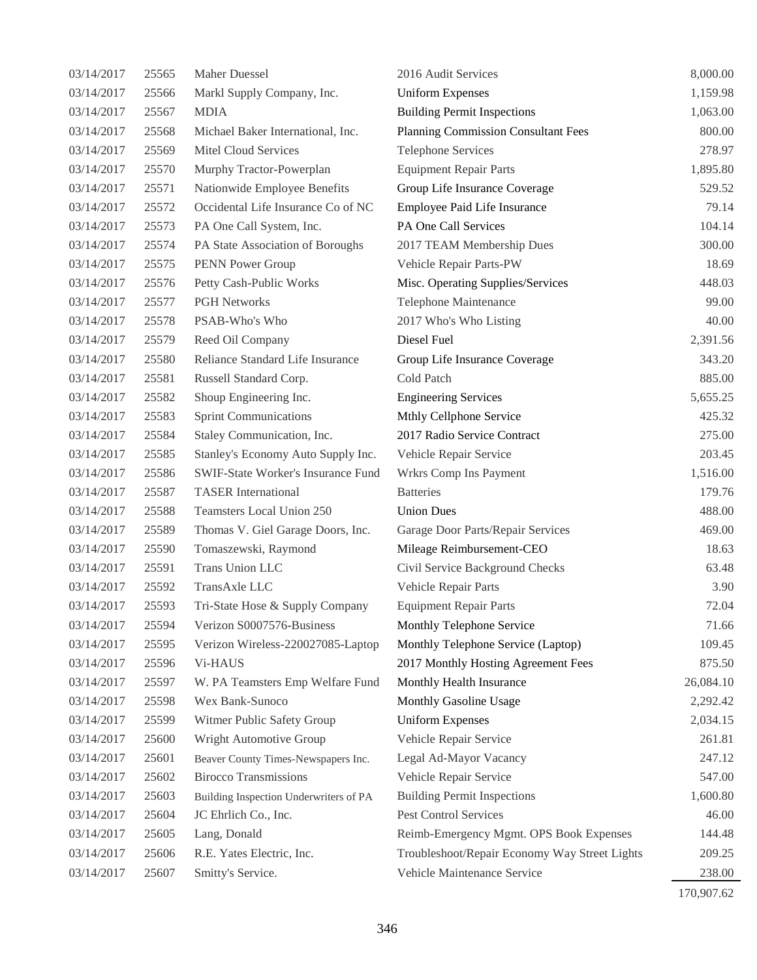| 03/14/2017 | 25565 | Maher Duessel                          | 2016 Audit Services                           | 8,000.00  |
|------------|-------|----------------------------------------|-----------------------------------------------|-----------|
| 03/14/2017 | 25566 | Markl Supply Company, Inc.             | <b>Uniform Expenses</b>                       | 1,159.98  |
| 03/14/2017 | 25567 | <b>MDIA</b>                            | <b>Building Permit Inspections</b>            | 1,063.00  |
| 03/14/2017 | 25568 | Michael Baker International, Inc.      | <b>Planning Commission Consultant Fees</b>    | 800.00    |
| 03/14/2017 | 25569 | <b>Mitel Cloud Services</b>            | <b>Telephone Services</b>                     | 278.97    |
| 03/14/2017 | 25570 | Murphy Tractor-Powerplan               | <b>Equipment Repair Parts</b>                 | 1,895.80  |
| 03/14/2017 | 25571 | Nationwide Employee Benefits           | Group Life Insurance Coverage                 | 529.52    |
| 03/14/2017 | 25572 | Occidental Life Insurance Co of NC     | Employee Paid Life Insurance                  | 79.14     |
| 03/14/2017 | 25573 | PA One Call System, Inc.               | PA One Call Services                          | 104.14    |
| 03/14/2017 | 25574 | PA State Association of Boroughs       | 2017 TEAM Membership Dues                     | 300.00    |
| 03/14/2017 | 25575 | PENN Power Group                       | Vehicle Repair Parts-PW                       | 18.69     |
| 03/14/2017 | 25576 | Petty Cash-Public Works                | Misc. Operating Supplies/Services             | 448.03    |
| 03/14/2017 | 25577 | <b>PGH Networks</b>                    | Telephone Maintenance                         | 99.00     |
| 03/14/2017 | 25578 | PSAB-Who's Who                         | 2017 Who's Who Listing                        | 40.00     |
| 03/14/2017 | 25579 | Reed Oil Company                       | Diesel Fuel                                   | 2,391.56  |
| 03/14/2017 | 25580 | Reliance Standard Life Insurance       | Group Life Insurance Coverage                 | 343.20    |
| 03/14/2017 | 25581 | Russell Standard Corp.                 | Cold Patch                                    | 885.00    |
| 03/14/2017 | 25582 | Shoup Engineering Inc.                 | <b>Engineering Services</b>                   | 5,655.25  |
| 03/14/2017 | 25583 | <b>Sprint Communications</b>           | Mthly Cellphone Service                       | 425.32    |
| 03/14/2017 | 25584 | Staley Communication, Inc.             | 2017 Radio Service Contract                   | 275.00    |
| 03/14/2017 | 25585 | Stanley's Economy Auto Supply Inc.     | Vehicle Repair Service                        | 203.45    |
| 03/14/2017 | 25586 | SWIF-State Worker's Insurance Fund     | Wrkrs Comp Ins Payment                        | 1,516.00  |
| 03/14/2017 | 25587 | <b>TASER</b> International             | <b>Batteries</b>                              | 179.76    |
| 03/14/2017 | 25588 | Teamsters Local Union 250              | <b>Union Dues</b>                             | 488.00    |
| 03/14/2017 | 25589 | Thomas V. Giel Garage Doors, Inc.      | Garage Door Parts/Repair Services             | 469.00    |
| 03/14/2017 | 25590 | Tomaszewski, Raymond                   | Mileage Reimbursement-CEO                     | 18.63     |
| 03/14/2017 | 25591 | Trans Union LLC                        | Civil Service Background Checks               | 63.48     |
| 03/14/2017 | 25592 | TransAxle LLC                          | Vehicle Repair Parts                          | 3.90      |
| 03/14/2017 | 25593 | Tri-State Hose & Supply Company        | <b>Equipment Repair Parts</b>                 | 72.04     |
| 03/14/2017 | 25594 | Verizon S0007576-Business              | Monthly Telephone Service                     | 71.66     |
| 03/14/2017 | 25595 | Verizon Wireless-220027085-Laptop      | Monthly Telephone Service (Laptop)            | 109.45    |
| 03/14/2017 | 25596 | Vi-HAUS                                | 2017 Monthly Hosting Agreement Fees           | 875.50    |
| 03/14/2017 | 25597 | W. PA Teamsters Emp Welfare Fund       | Monthly Health Insurance                      | 26,084.10 |
| 03/14/2017 | 25598 | Wex Bank-Sunoco                        | Monthly Gasoline Usage                        | 2,292.42  |
| 03/14/2017 | 25599 | Witmer Public Safety Group             | <b>Uniform Expenses</b>                       | 2,034.15  |
| 03/14/2017 | 25600 | Wright Automotive Group                | Vehicle Repair Service                        | 261.81    |
| 03/14/2017 | 25601 | Beaver County Times-Newspapers Inc.    | Legal Ad-Mayor Vacancy                        | 247.12    |
| 03/14/2017 | 25602 | <b>Birocco Transmissions</b>           | Vehicle Repair Service                        | 547.00    |
| 03/14/2017 | 25603 | Building Inspection Underwriters of PA | <b>Building Permit Inspections</b>            | 1,600.80  |
| 03/14/2017 | 25604 | JC Ehrlich Co., Inc.                   | Pest Control Services                         | 46.00     |
| 03/14/2017 | 25605 | Lang, Donald                           | Reimb-Emergency Mgmt. OPS Book Expenses       | 144.48    |
| 03/14/2017 | 25606 | R.E. Yates Electric, Inc.              | Troubleshoot/Repair Economy Way Street Lights | 209.25    |
| 03/14/2017 | 25607 | Smitty's Service.                      | Vehicle Maintenance Service                   | 238.00    |
|            |       |                                        |                                               |           |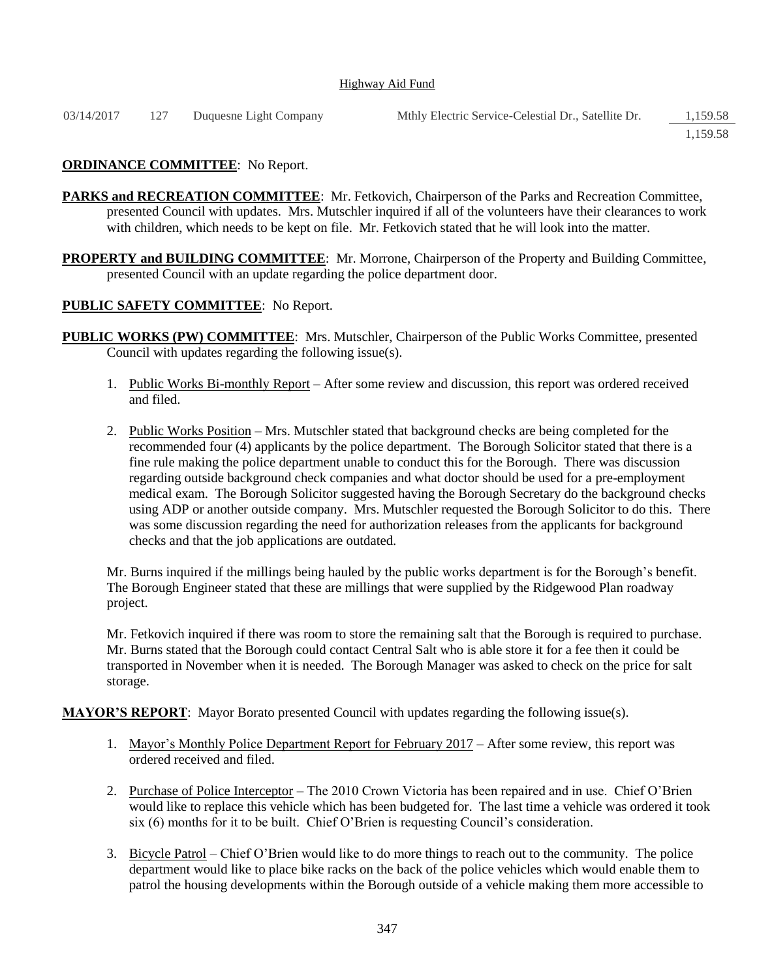#### Highway Aid Fund

| 03/14/2017 127 |  | Duquesne Light Company | Mthly Electric Service-Celestial Dr., Satellite Dr. | 1,159.58 |
|----------------|--|------------------------|-----------------------------------------------------|----------|
|----------------|--|------------------------|-----------------------------------------------------|----------|

1,159.58

## **ORDINANCE COMMITTEE**: No Report.

- PARKS and RECREATION COMMITTEE: Mr. Fetkovich, Chairperson of the Parks and Recreation Committee, presented Council with updates. Mrs. Mutschler inquired if all of the volunteers have their clearances to work with children, which needs to be kept on file. Mr. Fetkovich stated that he will look into the matter.
- **PROPERTY and BUILDING COMMITTEE:** Mr. Morrone, Chairperson of the Property and Building Committee, presented Council with an update regarding the police department door.

## **PUBLIC SAFETY COMMITTEE**: No Report.

- **PUBLIC WORKS (PW) COMMITTEE**: Mrs. Mutschler, Chairperson of the Public Works Committee, presented Council with updates regarding the following issue(s).
	- 1. Public Works Bi-monthly Report After some review and discussion, this report was ordered received and filed.
	- 2. Public Works Position Mrs. Mutschler stated that background checks are being completed for the recommended four (4) applicants by the police department. The Borough Solicitor stated that there is a fine rule making the police department unable to conduct this for the Borough. There was discussion regarding outside background check companies and what doctor should be used for a pre-employment medical exam. The Borough Solicitor suggested having the Borough Secretary do the background checks using ADP or another outside company. Mrs. Mutschler requested the Borough Solicitor to do this. There was some discussion regarding the need for authorization releases from the applicants for background checks and that the job applications are outdated.

Mr. Burns inquired if the millings being hauled by the public works department is for the Borough's benefit. The Borough Engineer stated that these are millings that were supplied by the Ridgewood Plan roadway project.

Mr. Fetkovich inquired if there was room to store the remaining salt that the Borough is required to purchase. Mr. Burns stated that the Borough could contact Central Salt who is able store it for a fee then it could be transported in November when it is needed. The Borough Manager was asked to check on the price for salt storage.

**MAYOR'S REPORT**: Mayor Borato presented Council with updates regarding the following issue(s).

- 1. Mayor's Monthly Police Department Report for February 2017 After some review, this report was ordered received and filed.
- 2. Purchase of Police Interceptor The 2010 Crown Victoria has been repaired and in use. Chief O'Brien would like to replace this vehicle which has been budgeted for. The last time a vehicle was ordered it took six (6) months for it to be built. Chief O'Brien is requesting Council's consideration.
- 3. Bicycle Patrol Chief O'Brien would like to do more things to reach out to the community. The police department would like to place bike racks on the back of the police vehicles which would enable them to patrol the housing developments within the Borough outside of a vehicle making them more accessible to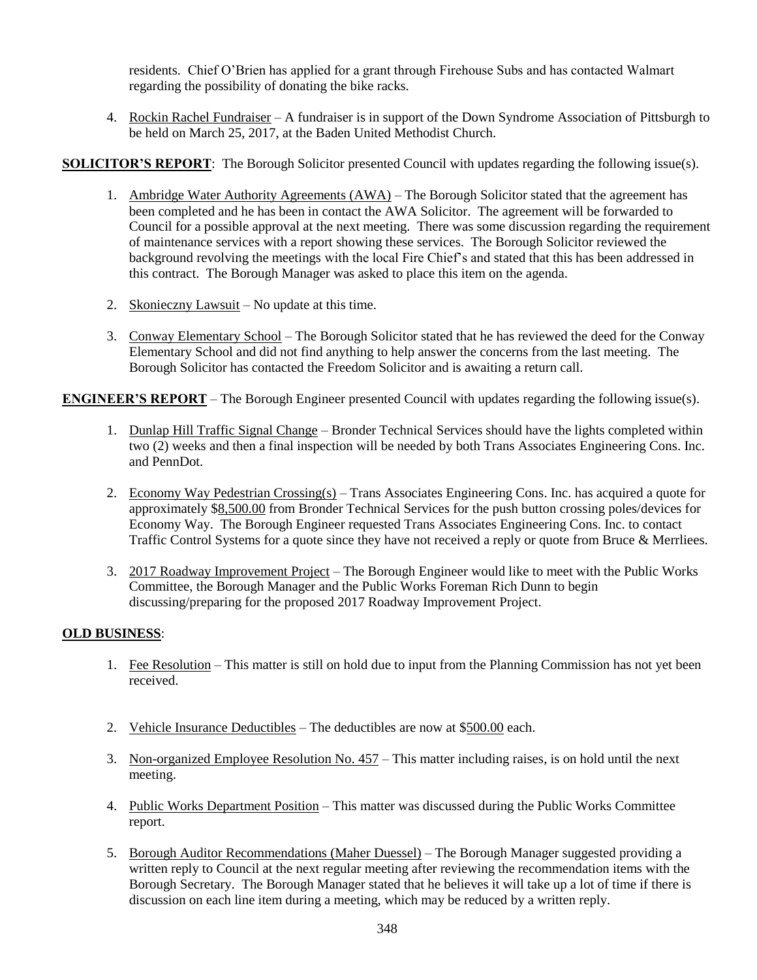residents. Chief O'Brien has applied for a grant through Firehouse Subs and has contacted Walmart regarding the possibility of donating the bike racks.

4. Rockin Rachel Fundraiser – A fundraiser is in support of the Down Syndrome Association of Pittsburgh to be held on March 25, 2017, at the Baden United Methodist Church.

**SOLICITOR'S REPORT:** The Borough Solicitor presented Council with updates regarding the following issue(s).

- 1. Ambridge Water Authority Agreements (AWA) The Borough Solicitor stated that the agreement has been completed and he has been in contact the AWA Solicitor. The agreement will be forwarded to Council for a possible approval at the next meeting. There was some discussion regarding the requirement of maintenance services with a report showing these services. The Borough Solicitor reviewed the background revolving the meetings with the local Fire Chief's and stated that this has been addressed in this contract. The Borough Manager was asked to place this item on the agenda.
- 2. Skonieczny Lawsuit No update at this time.
- 3. Conway Elementary School The Borough Solicitor stated that he has reviewed the deed for the Conway Elementary School and did not find anything to help answer the concerns from the last meeting. The Borough Solicitor has contacted the Freedom Solicitor and is awaiting a return call.

**ENGINEER'S REPORT** – The Borough Engineer presented Council with updates regarding the following issue(s).

- 1. Dunlap Hill Traffic Signal Change Bronder Technical Services should have the lights completed within two (2) weeks and then a final inspection will be needed by both Trans Associates Engineering Cons. Inc. and PennDot.
- 2. Economy Way Pedestrian Crossing(s) Trans Associates Engineering Cons. Inc. has acquired a quote for approximately \$8,500.00 from Bronder Technical Services for the push button crossing poles/devices for Economy Way. The Borough Engineer requested Trans Associates Engineering Cons. Inc. to contact Traffic Control Systems for a quote since they have not received a reply or quote from Bruce & Merrliees.
- 3. 2017 Roadway Improvement Project The Borough Engineer would like to meet with the Public Works Committee, the Borough Manager and the Public Works Foreman Rich Dunn to begin discussing/preparing for the proposed 2017 Roadway Improvement Project.

# **OLD BUSINESS**:

- 1. Fee Resolution This matter is still on hold due to input from the Planning Commission has not yet been received.
- 2. Vehicle Insurance Deductibles The deductibles are now at \$500.00 each.
- 3. Non-organized Employee Resolution No. 457 This matter including raises, is on hold until the next meeting.
- 4. Public Works Department Position This matter was discussed during the Public Works Committee report.
- 5. Borough Auditor Recommendations (Maher Duessel) The Borough Manager suggested providing a written reply to Council at the next regular meeting after reviewing the recommendation items with the Borough Secretary. The Borough Manager stated that he believes it will take up a lot of time if there is discussion on each line item during a meeting, which may be reduced by a written reply.